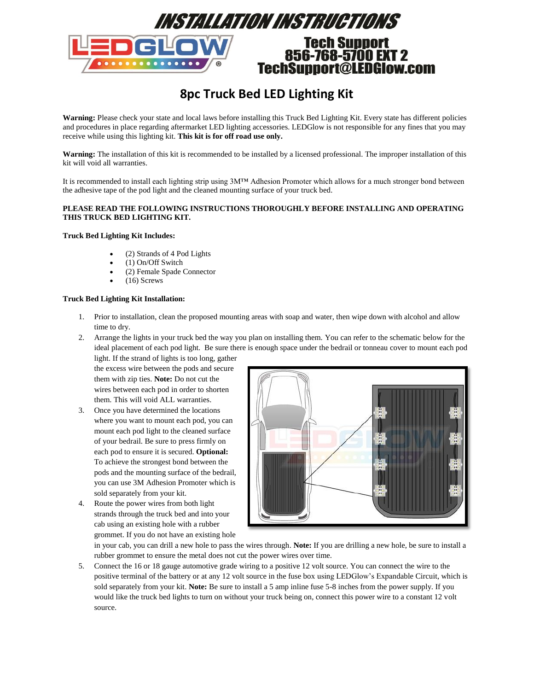

# **8pc Truck Bed LED Lighting Kit**

**Warning:** Please check your state and local laws before installing this Truck Bed Lighting Kit. Every state has different policies and procedures in place regarding aftermarket LED lighting accessories. LEDGlow is not responsible for any fines that you may receive while using this lighting kit. **This kit is for off road use only.**

**Warning:** The installation of this kit is recommended to be installed by a licensed professional. The improper installation of this kit will void all warranties.

It is recommended to install each lighting strip using 3M™ Adhesion Promoter which allows for a much stronger bond between the adhesive tape of the pod light and the cleaned mounting surface of your truck bed.

## **PLEASE READ THE FOLLOWING INSTRUCTIONS THOROUGHLY BEFORE INSTALLING AND OPERATING THIS TRUCK BED LIGHTING KIT.**

### **Truck Bed Lighting Kit Includes:**

- (2) Strands of 4 Pod Lights
- (1) On/Off Switch
- (2) Female Spade Connector
- (16) Screws

## **Truck Bed Lighting Kit Installation:**

- 1. Prior to installation, clean the proposed mounting areas with soap and water, then wipe down with alcohol and allow time to dry.
- 2. Arrange the lights in your truck bed the way you plan on installing them. You can refer to the schematic below for the ideal placement of each pod light. Be sure there is enough space under the bedrail or tonneau cover to mount each pod light. If the strand of lights is too long, gather

the excess wire between the pods and secure them with zip ties. **Note:** Do not cut the wires between each pod in order to shorten them. This will void ALL warranties.

- 3. Once you have determined the locations where you want to mount each pod, you can mount each pod light to the cleaned surface of your bedrail. Be sure to press firmly on each pod to ensure it is secured. **Optional:** To achieve the strongest bond between the pods and the mounting surface of the bedrail, you can use 3M Adhesion Promoter which is sold separately from your kit.
- 4. Route the power wires from both light strands through the truck bed and into your cab using an existing hole with a rubber grommet. If you do not have an existing hole



in your cab, you can drill a new hole to pass the wires through. **Note:** If you are drilling a new hole, be sure to install a rubber grommet to ensure the metal does not cut the power wires over time.

5. Connect the 16 or 18 gauge automotive grade wiring to a positive 12 volt source. You can connect the wire to the positive terminal of the battery or at any 12 volt source in the fuse box using LEDGlow's Expandable Circuit, which is sold separately from your kit. **Note:** Be sure to install a 5 amp inline fuse 5-8 inches from the power supply. If you would like the truck bed lights to turn on without your truck being on, connect this power wire to a constant 12 volt source.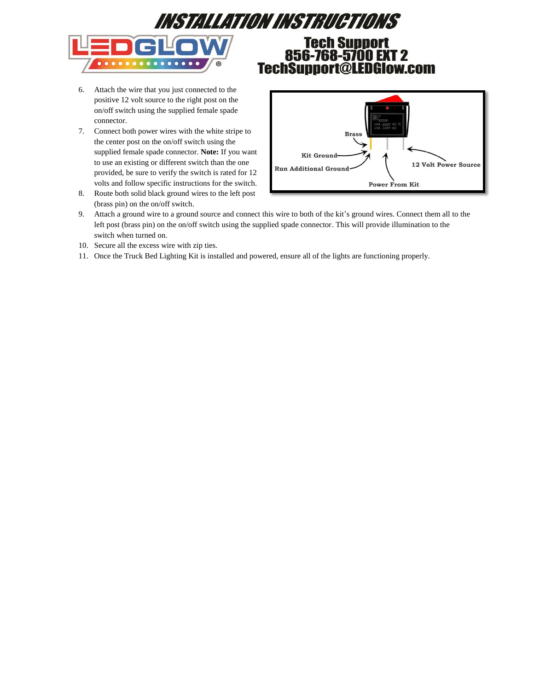

# **Tech Support** 856-768-5700 EXT 2 TechSupport@LEDGlow.com

- 6. Attach the wire that you just connected to the positive 12 volt source to the right post on the on/off switch using the supplied female spade connector.
- 7. Connect both power wires with the white stripe to the center post on the on/off switch using the supplied female spade connector. **Note:** If you want to use an existing or different switch than the one provided, be sure to verify the switch is rated for 12 volts and follow specific instructions for the switch.
- 8. Route both solid black ground wires to the left post (brass pin) on the on/off switch.



- 9. Attach a ground wire to a ground source and connect this wire to both of the kit's ground wires. Connect them all to the left post (brass pin) on the on/off switch using the supplied spade connector. This will provide illumination to the switch when turned on.
- 10. Secure all the excess wire with zip ties.
- 11. Once the Truck Bed Lighting Kit is installed and powered, ensure all of the lights are functioning properly.